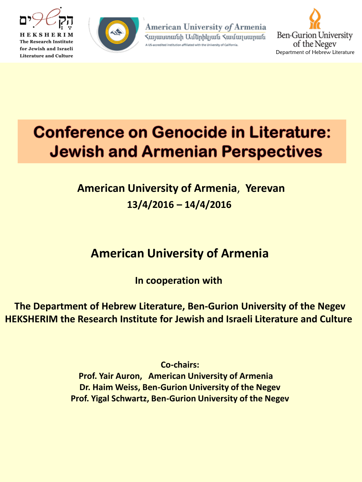



American University of Armenia Հայաստանի Ամերիկյան Համալսարան ted institution affiliated with the University of California.



# **Conference on Genocide in Literature: Jewish and Armenian Perspectives**

## **13/4/2016 – 14/4/2016 American University of Armenia**, **Yerevan**

# **American University of Armenia**

**In cooperation with** 

**The Department of Hebrew Literature, Ben-Gurion University of the Negev HEKSHERIM the Research Institute for Jewish and Israeli Literature and Culture** 

**Co-chairs:**

**Prof. Yair Auron, American University of Armenia Dr. Haim Weiss, Ben-Gurion University of the Negev Prof. Yigal Schwartz, Ben-Gurion University of the Negev**